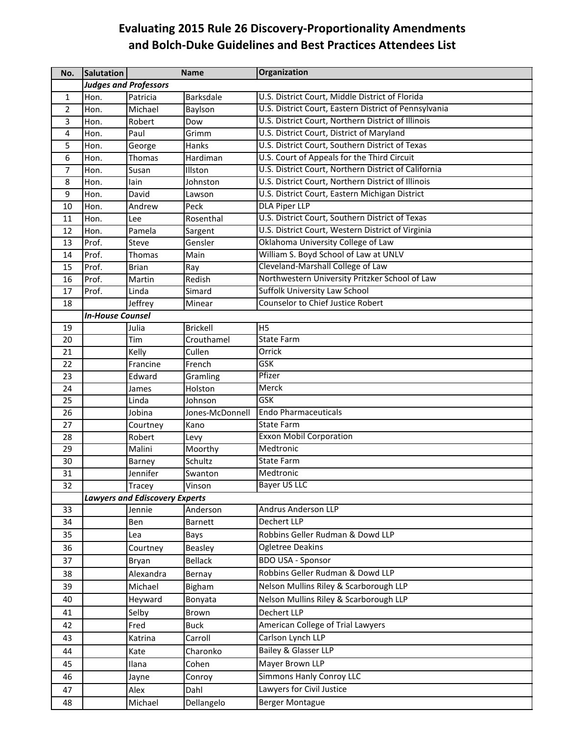## **Evaluating 2015 Rule 26 Discovery‐Proportionality Amendments and Bolch‐Duke Guidelines and Best Practices Attendees List**

| No.            | Salutation                            | <b>Name</b>  |                 | <b>Organization</b>                                   |  |  |
|----------------|---------------------------------------|--------------|-----------------|-------------------------------------------------------|--|--|
|                | <b>Judges and Professors</b>          |              |                 |                                                       |  |  |
| 1              | Hon.                                  | Patricia     | Barksdale       | U.S. District Court, Middle District of Florida       |  |  |
| $\overline{2}$ | Hon.                                  | Michael      | Baylson         | U.S. District Court, Eastern District of Pennsylvania |  |  |
| 3              | Hon.                                  | Robert       | Dow             | U.S. District Court, Northern District of Illinois    |  |  |
| 4              | Hon.                                  | Paul         | Grimm           | U.S. District Court, District of Maryland             |  |  |
| 5              | Hon.                                  | George       | Hanks           | U.S. District Court, Southern District of Texas       |  |  |
| 6              | Hon.                                  | Thomas       | Hardiman        | U.S. Court of Appeals for the Third Circuit           |  |  |
| $\overline{7}$ | Hon.                                  | Susan        | Illston         | U.S. District Court, Northern District of California  |  |  |
| 8              | Hon.                                  | lain         | Johnston        | U.S. District Court, Northern District of Illinois    |  |  |
| 9              | Hon.                                  | David        | Lawson          | U.S. District Court, Eastern Michigan District        |  |  |
| 10             | Hon.                                  | Andrew       | Peck            | <b>DLA Piper LLP</b>                                  |  |  |
| 11             | Hon.                                  | Lee          | Rosenthal       | U.S. District Court, Southern District of Texas       |  |  |
| 12             | Hon.                                  | Pamela       | Sargent         | U.S. District Court, Western District of Virginia     |  |  |
| 13             | Prof.                                 | Steve        | Gensler         | Oklahoma University College of Law                    |  |  |
| 14             | Prof.                                 | Thomas       | Main            | William S. Boyd School of Law at UNLV                 |  |  |
| 15             | Prof.                                 | <b>Brian</b> | Ray             | Cleveland-Marshall College of Law                     |  |  |
| 16             | Prof.                                 | Martin       | Redish          | Northwestern University Pritzker School of Law        |  |  |
| 17             | Prof.                                 | Linda        | Simard          | <b>Suffolk University Law School</b>                  |  |  |
| 18             |                                       | Jeffrey      | Minear          | Counselor to Chief Justice Robert                     |  |  |
|                | <b>In-House Counsel</b>               |              |                 |                                                       |  |  |
| 19             |                                       | Julia        | <b>Brickell</b> | H <sub>5</sub>                                        |  |  |
| 20             |                                       | Tim          | Crouthamel      | <b>State Farm</b>                                     |  |  |
| 21             |                                       | Kelly        | Cullen          | Orrick                                                |  |  |
| 22             |                                       | Francine     | French          | GSK                                                   |  |  |
| 23             |                                       | Edward       | Gramling        | Pfizer                                                |  |  |
| 24             |                                       | James        | Holston         | Merck                                                 |  |  |
| 25             |                                       | Linda        | Johnson         | <b>GSK</b>                                            |  |  |
| 26             |                                       | Jobina       | Jones-McDonnell | <b>Endo Pharmaceuticals</b>                           |  |  |
| 27             |                                       | Courtney     | Kano            | <b>State Farm</b>                                     |  |  |
| 28             |                                       | Robert       | Levy            | <b>Exxon Mobil Corporation</b>                        |  |  |
| 29             |                                       | Malini       | Moorthy         | Medtronic                                             |  |  |
| 30             |                                       | Barney       | Schultz         | <b>State Farm</b>                                     |  |  |
| 31             |                                       | Jennifer     | Swanton         | Medtronic                                             |  |  |
| 32             |                                       | Tracey       | Vinson          | <b>Bayer US LLC</b>                                   |  |  |
|                | <b>Lawyers and Ediscovery Experts</b> |              |                 |                                                       |  |  |
| 33             |                                       | Jennie       | Anderson        | <b>Andrus Anderson LLP</b>                            |  |  |
| 34             |                                       | Ben          | Barnett         | Dechert LLP                                           |  |  |
| 35             |                                       | Lea          | Bays            | Robbins Geller Rudman & Dowd LLP                      |  |  |
| 36             |                                       | Courtney     | Beasley         | Ogletree Deakins                                      |  |  |
| 37             |                                       | Bryan        | <b>Bellack</b>  | <b>BDO USA - Sponsor</b>                              |  |  |
| 38             |                                       | Alexandra    | Bernay          | Robbins Geller Rudman & Dowd LLP                      |  |  |
| 39             |                                       | Michael      | Bigham          | Nelson Mullins Riley & Scarborough LLP                |  |  |
| 40             |                                       | Heyward      | Bonyata         | Nelson Mullins Riley & Scarborough LLP                |  |  |
| 41             |                                       | Selby        | Brown           | Dechert LLP                                           |  |  |
| 42             |                                       | Fred         | <b>Buck</b>     | American College of Trial Lawyers                     |  |  |
| 43             |                                       | Katrina      | Carroll         | Carlson Lynch LLP                                     |  |  |
| 44             |                                       | Kate         | Charonko        | Bailey & Glasser LLP                                  |  |  |
| 45             |                                       | Ilana        | Cohen           | Mayer Brown LLP                                       |  |  |
| 46             |                                       | Jayne        | Conroy          | <b>Simmons Hanly Conroy LLC</b>                       |  |  |
| 47             |                                       | Alex         | Dahl            | Lawyers for Civil Justice                             |  |  |
| 48             |                                       | Michael      | Dellangelo      | <b>Berger Montague</b>                                |  |  |
|                |                                       |              |                 |                                                       |  |  |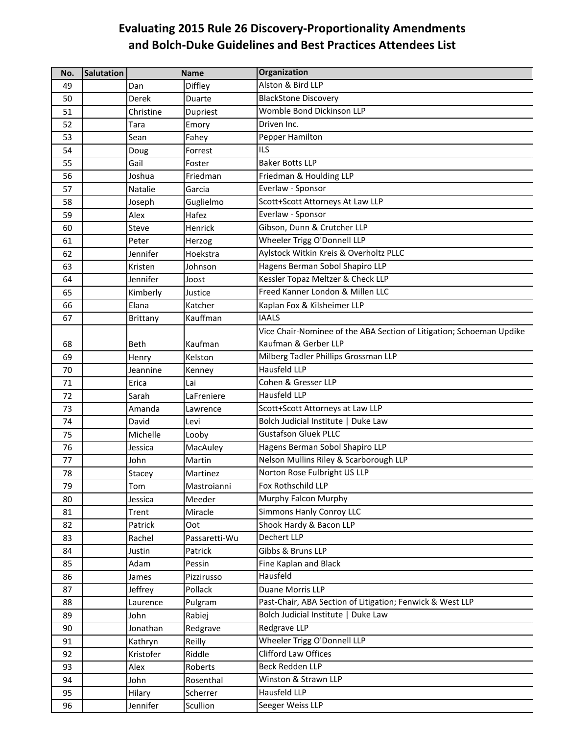## **Evaluating 2015 Rule 26 Discovery‐Proportionality Amendments and Bolch‐Duke Guidelines and Best Practices Attendees List**

| No. | <b>Salutation</b> | <b>Name</b>     |               | <b>Organization</b>                                                  |
|-----|-------------------|-----------------|---------------|----------------------------------------------------------------------|
| 49  |                   | Dan             | Diffley       | Alston & Bird LLP                                                    |
| 50  |                   | Derek           | Duarte        | <b>BlackStone Discovery</b>                                          |
| 51  |                   | Christine       | Dupriest      | Womble Bond Dickinson LLP                                            |
| 52  |                   | Tara            | Emory         | Driven Inc.                                                          |
| 53  |                   | Sean            | Fahey         | Pepper Hamilton                                                      |
| 54  |                   | Doug            | Forrest       | <b>ILS</b>                                                           |
| 55  |                   | Gail            | Foster        | <b>Baker Botts LLP</b>                                               |
| 56  |                   | Joshua          | Friedman      | Friedman & Houlding LLP                                              |
| 57  |                   | Natalie         | Garcia        | Everlaw - Sponsor                                                    |
| 58  |                   | Joseph          | Guglielmo     | Scott+Scott Attorneys At Law LLP                                     |
| 59  |                   | Alex            | Hafez         | Everlaw - Sponsor                                                    |
| 60  |                   | Steve           | Henrick       | Gibson, Dunn & Crutcher LLP                                          |
| 61  |                   | Peter           | Herzog        | Wheeler Trigg O'Donnell LLP                                          |
| 62  |                   | Jennifer        | Hoekstra      | Aylstock Witkin Kreis & Overholtz PLLC                               |
| 63  |                   | Kristen         | Johnson       | Hagens Berman Sobol Shapiro LLP                                      |
| 64  |                   | Jennifer        | Joost         | Kessler Topaz Meltzer & Check LLP                                    |
| 65  |                   | Kimberly        | Justice       | Freed Kanner London & Millen LLC                                     |
| 66  |                   | Elana           | Katcher       | Kaplan Fox & Kilsheimer LLP                                          |
| 67  |                   | <b>Brittany</b> | Kauffman      | <b>IAALS</b>                                                         |
|     |                   |                 |               | Vice Chair-Nominee of the ABA Section of Litigation; Schoeman Updike |
| 68  |                   | Beth            | Kaufman       | Kaufman & Gerber LLP                                                 |
| 69  |                   | Henry           | Kelston       | Milberg Tadler Phillips Grossman LLP                                 |
| 70  |                   | Jeannine        | Kenney        | <b>Hausfeld LLP</b>                                                  |
| 71  |                   | Erica           | Lai           | Cohen & Gresser LLP                                                  |
| 72  |                   | Sarah           | LaFreniere    | Hausfeld LLP                                                         |
| 73  |                   | Amanda          | Lawrence      | Scott+Scott Attorneys at Law LLP                                     |
| 74  |                   | David           | Levi          | Bolch Judicial Institute   Duke Law                                  |
| 75  |                   | Michelle        | Looby         | <b>Gustafson Gluek PLLC</b>                                          |
| 76  |                   | Jessica         | MacAuley      | Hagens Berman Sobol Shapiro LLP                                      |
| 77  |                   | John            | Martin        | Nelson Mullins Riley & Scarborough LLP                               |
| 78  |                   | Stacey          | Martinez      | Norton Rose Fulbright US LLP                                         |
| 79  |                   | Tom             | Mastroianni   | Fox Rothschild LLP                                                   |
| 80  |                   | Jessica         | Meeder        | Murphy Falcon Murphy                                                 |
| 81  |                   | Trent           | Miracle       | Simmons Hanly Conroy LLC                                             |
| 82  |                   | Patrick         | Oot           | Shook Hardy & Bacon LLP                                              |
| 83  |                   | Rachel          | Passaretti-Wu | Dechert LLP                                                          |
| 84  |                   | Justin          | Patrick       | Gibbs & Bruns LLP                                                    |
| 85  |                   | Adam            | Pessin        | Fine Kaplan and Black                                                |
| 86  |                   | James           | Pizzirusso    | Hausfeld                                                             |
| 87  |                   | Jeffrey         | Pollack       | Duane Morris LLP                                                     |
| 88  |                   | Laurence        | Pulgram       | Past-Chair, ABA Section of Litigation; Fenwick & West LLP            |
| 89  |                   | John            | Rabiej        | Bolch Judicial Institute   Duke Law                                  |
| 90  |                   | Jonathan        | Redgrave      | Redgrave LLP                                                         |
| 91  |                   | Kathryn         | Reilly        | Wheeler Trigg O'Donnell LLP                                          |
| 92  |                   | Kristofer       | Riddle        | <b>Clifford Law Offices</b>                                          |
| 93  |                   | Alex            | Roberts       | <b>Beck Redden LLP</b>                                               |
| 94  |                   | John            | Rosenthal     | Winston & Strawn LLP                                                 |
| 95  |                   | Hilary          | Scherrer      | Hausfeld LLP                                                         |
| 96  |                   | Jennifer        | Scullion      | Seeger Weiss LLP                                                     |